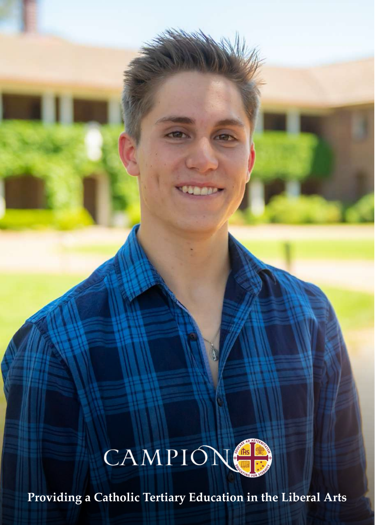

**Providing a Catholic Tertiary Education in the Liberal Arts**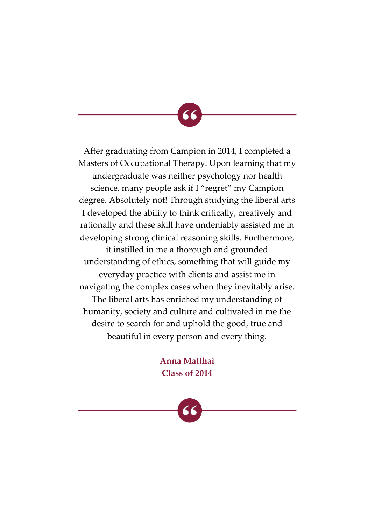After graduating from Campion in 2014, I completed a Masters of Occupational Therapy. Upon learning that my undergraduate was neither psychology nor health science, many people ask if I "regret" my Campion degree. Absolutely not! Through studying the liberal arts I developed the ability to think critically, creatively and rationally and these skill have undeniably assisted me in developing strong clinical reasoning skills. Furthermore, it instilled in me a thorough and grounded understanding of ethics, something that will guide my everyday practice with clients and assist me in navigating the complex cases when they inevitably arise. The liberal arts has enriched my understanding of humanity, society and culture and cultivated in me the desire to search for and uphold the good, true and beautiful in every person and every thing.

> **Anna Matthai Class of 2014**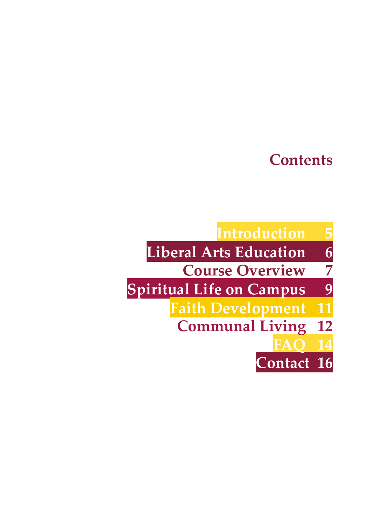## **Contents**

**Contact 16**

**Introduction 5<br>
rts Education 6<br>
<u>rse Overview 7</u><br>
e on Campus 9 Liberal Arts Education 6 Course Overview Spiritual Life on Campus 9**<br>**Faith Development 11 Faith Development Communal Living 12 FAQ 14**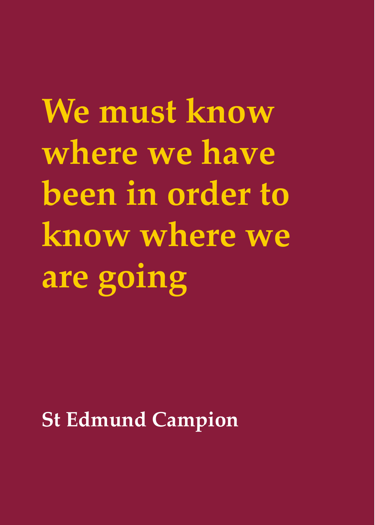We must know **where we have been in order to know where we are going**

**St Edmund Campion**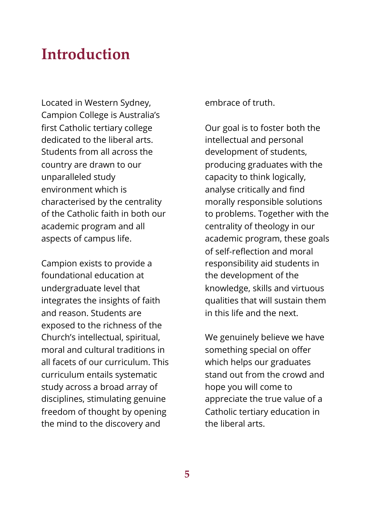## **Introduction**

Located in Western Sydney, Campion College is Australia's first Catholic tertiary college dedicated to the liberal arts. Students from all across the country are drawn to our unparalleled study environment which is characterised by the centrality of the Catholic faith in both our academic program and all aspects of campus life.

Campion exists to provide a foundational education at undergraduate level that integrates the insights of faith and reason. Students are exposed to the richness of the Church's intellectual, spiritual, moral and cultural traditions in all facets of our curriculum. This curriculum entails systematic study across a broad array of disciplines, stimulating genuine freedom of thought by opening the mind to the discovery and

embrace of truth.

Our goal is to foster both the intellectual and personal development of students, producing graduates with the capacity to think logically, analyse critically and find morally responsible solutions to problems. Together with the centrality of theology in our academic program, these goals of self-reflection and moral responsibility aid students in the development of the knowledge, skills and virtuous qualities that will sustain them in this life and the next.

We genuinely believe we have something special on offer which helps our graduates stand out from the crowd and hope you will come to appreciate the true value of a Catholic tertiary education in the liberal arts.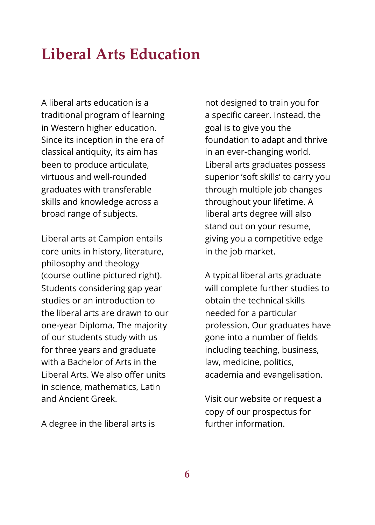## **Liberal Arts Education**

A liberal arts education is a traditional program of learning in Western higher education. Since its inception in the era of classical antiquity, its aim has been to produce articulate, virtuous and well-rounded graduates with transferable skills and knowledge across a broad range of subjects.

Liberal arts at Campion entails core units in history, literature, philosophy and theology (course outline pictured right). Students considering gap year studies or an introduction to the liberal arts are drawn to our one-year Diploma. The majority of our students study with us for three years and graduate with a Bachelor of Arts in the Liberal Arts. We also offer units in science, mathematics, Latin and Ancient Greek.

A degree in the liberal arts is

not designed to train you for a specific career. Instead, the goal is to give you the foundation to adapt and thrive in an ever-changing world. Liberal arts graduates possess superior 'soft skills' to carry you through multiple job changes throughout your lifetime. A liberal arts degree will also stand out on your resume, giving you a competitive edge in the job market.

A typical liberal arts graduate will complete further studies to obtain the technical skills needed for a particular profession. Our graduates have gone into a number of fields including teaching, business, law, medicine, politics, academia and evangelisation.

Visit our website or request a copy of our prospectus for further information.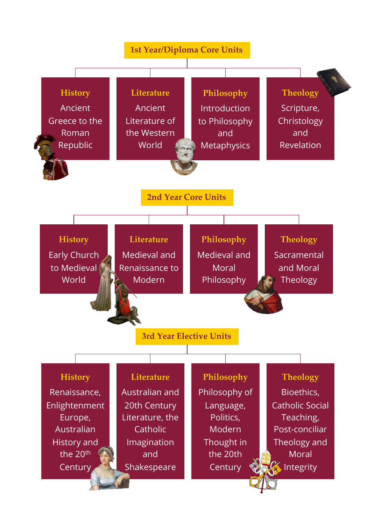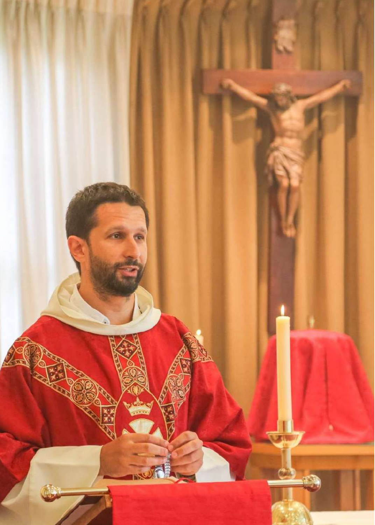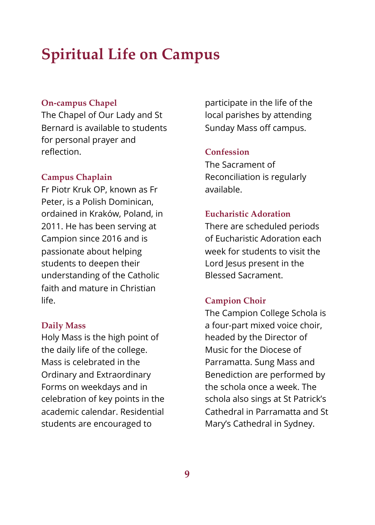## **Spiritual Life on Campus**

## **On-campus Chapel**

The Chapel of Our Lady and St Bernard is available to students for personal prayer and reflection.

### **Campus Chaplain**

Fr Piotr Kruk OP, known as Fr Peter, is a Polish Dominican, ordained in Kraków, Poland, in 2011. He has been serving at Campion since 2016 and is passionate about helping students to deepen their understanding of the Catholic faith and mature in Christian life.

### **Daily Mass**

Holy Mass is the high point of the daily life of the college. Mass is celebrated in the Ordinary and Extraordinary Forms on weekdays and in celebration of key points in the academic calendar. Residential students are encouraged to

participate in the life of the local parishes by attending Sunday Mass off campus.

## **Confession**

The Sacrament of Reconciliation is regularly available.

#### **Eucharistic Adoration**

There are scheduled periods of Eucharistic Adoration each week for students to visit the Lord Jesus present in the Blessed Sacrament.

### **Campion Choir**

The Campion College Schola is a four-part mixed voice choir, headed by the Director of Music for the Diocese of Parramatta. Sung Mass and Benediction are performed by the schola once a week. The schola also sings at St Patrick's Cathedral in Parramatta and St Mary's Cathedral in Sydney.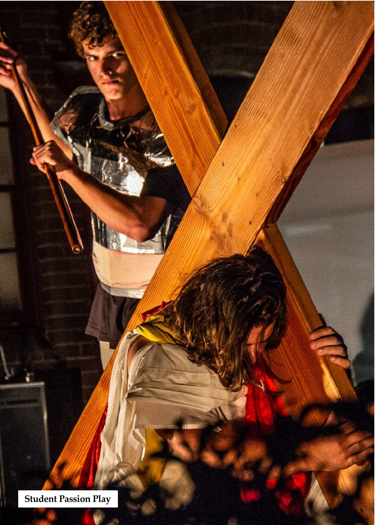**Student Passion Play**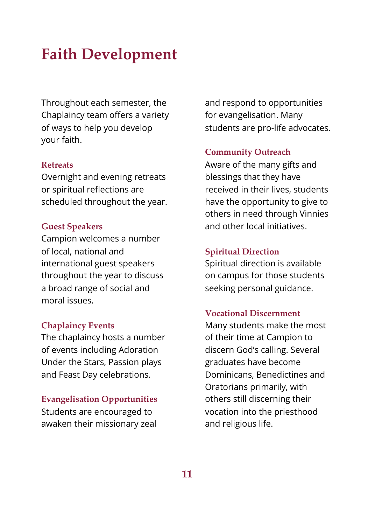## **Faith Development**

Throughout each semester, the Chaplaincy team offers a variety of ways to help you develop your faith.

### **Retreats**

Overnight and evening retreats or spiritual reflections are scheduled throughout the year.

## **Guest Speakers**

Campion welcomes a number of local, national and international guest speakers throughout the year to discuss a broad range of social and moral issues.

## **Chaplaincy Events**

The chaplaincy hosts a number of events including Adoration Under the Stars, Passion plays and Feast Day celebrations.

#### **Evangelisation Opportunities**

Students are encouraged to awaken their missionary zeal

and respond to opportunities for evangelisation. Many students are pro-life advocates.

#### **Community Outreach**

Aware of the many gifts and blessings that they have received in their lives, students have the opportunity to give to others in need through Vinnies and other local initiatives.

#### **Spiritual Direction**

Spiritual direction is available on campus for those students seeking personal guidance.

### **Vocational Discernment**

Many students make the most of their time at Campion to discern God's calling. Several graduates have become Dominicans, Benedictines and Oratorians primarily, with others still discerning their vocation into the priesthood and religious life.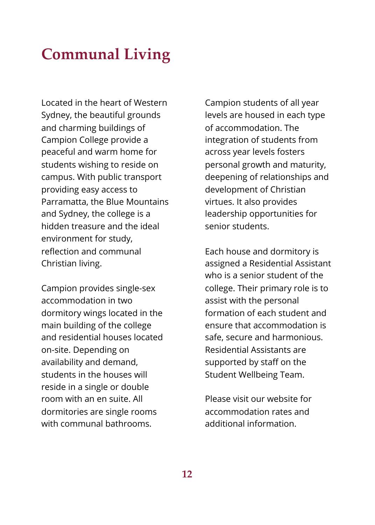# **Communal Living**

Located in the heart of Western Sydney, the beautiful grounds and charming buildings of Campion College provide a peaceful and warm home for students wishing to reside on campus. With public transport providing easy access to Parramatta, the Blue Mountains and Sydney, the college is a hidden treasure and the ideal environment for study, reflection and communal Christian living.

Campion provides single-sex accommodation in two dormitory wings located in the main building of the college and residential houses located on-site. Depending on availability and demand, students in the houses will reside in a single or double room with an en suite. All dormitories are single rooms with communal bathrooms.

Campion students of all year levels are housed in each type of accommodation. The integration of students from across year levels fosters personal growth and maturity, deepening of relationships and development of Christian virtues. It also provides leadership opportunities for senior students.

Each house and dormitory is assigned a Residential Assistant who is a senior student of the college. Their primary role is to assist with the personal formation of each student and ensure that accommodation is safe, secure and harmonious. Residential Assistants are supported by staff on the Student Wellbeing Team.

Please visit our website for accommodation rates and additional information.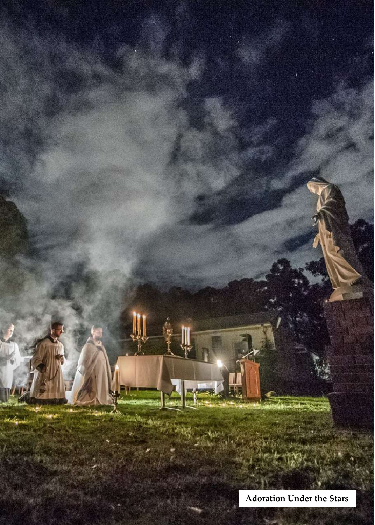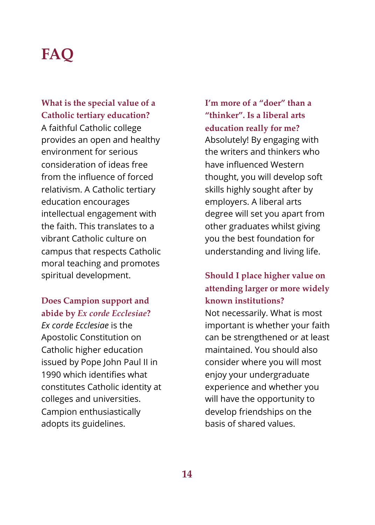# **FAQ**

## **What is the special value of a Catholic tertiary education?**

A faithful Catholic college provides an open and healthy environment for serious consideration of ideas free from the influence of forced relativism. A Catholic tertiary education encourages intellectual engagement with the faith. This translates to a vibrant Catholic culture on campus that respects Catholic moral teaching and promotes spiritual development.

## **Does Campion support and abide by** *Ex corde Ecclesiae***?**

*Ex corde Ecclesiae* is the Apostolic Constitution on Catholic higher education issued by Pope John Paul II in 1990 which identifies what constitutes Catholic identity at colleges and universities. Campion enthusiastically adopts its guidelines.

**I'm more of a "doer" than a "thinker". Is a liberal arts education really for me?** Absolutely! By engaging with the writers and thinkers who have influenced Western thought, you will develop soft skills highly sought after by employers. A liberal arts degree will set you apart from other graduates whilst giving you the best foundation for understanding and living life.

## **Should I place higher value on attending larger or more widely known institutions?**

Not necessarily. What is most important is whether your faith can be strengthened or at least maintained. You should also consider where you will most enjoy your undergraduate experience and whether you will have the opportunity to develop friendships on the basis of shared values.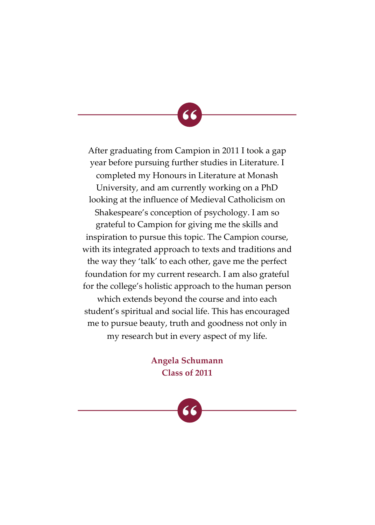After graduating from Campion in 2011 I took a gap year before pursuing further studies in Literature. I completed my Honours in Literature at Monash University, and am currently working on a PhD looking at the influence of Medieval Catholicism on Shakespeare's conception of psychology. I am so grateful to Campion for giving me the skills and inspiration to pursue this topic. The Campion course, with its integrated approach to texts and traditions and the way they 'talk' to each other, gave me the perfect foundation for my current research. I am also grateful for the college's holistic approach to the human person which extends beyond the course and into each student's spiritual and social life. This has encouraged me to pursue beauty, truth and goodness not only in my research but in every aspect of my life.

> **Angela Schumann Class of 2011**